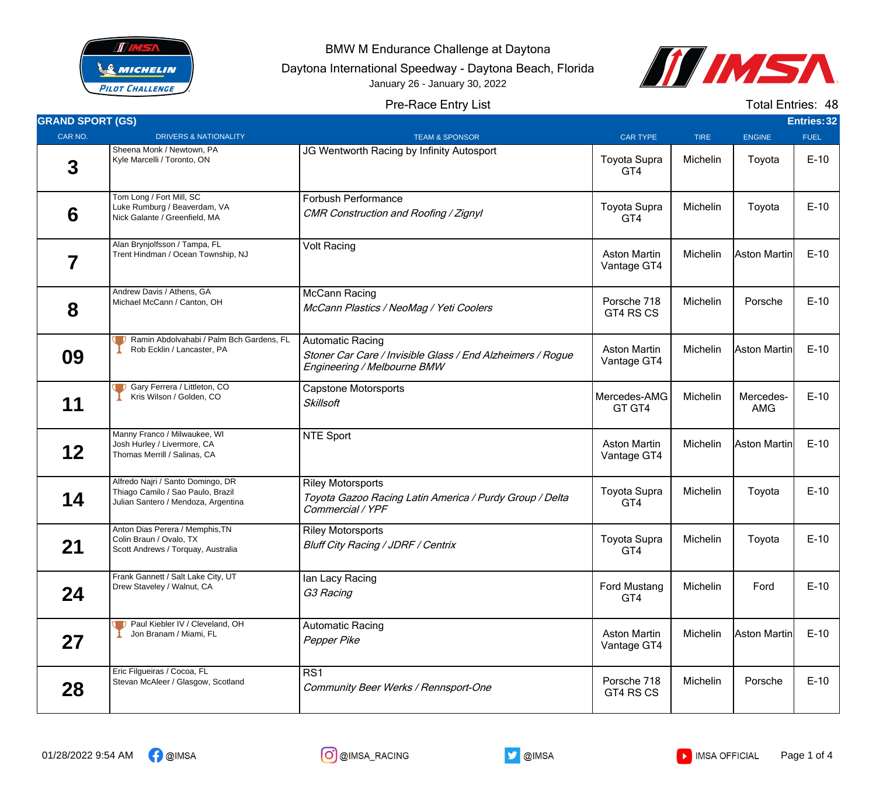

BMW M Endurance Challenge at Daytona

Daytona International Speedway - Daytona Beach, Florida

January 26 - January 30, 2022



## Pre-Race Entry List

Total Entries: 48

| <b>GRAND SPORT (GS)</b> |                                                                                                               |                                                                                                                      |                                    |             |                         | <b>Entries: 32</b> |
|-------------------------|---------------------------------------------------------------------------------------------------------------|----------------------------------------------------------------------------------------------------------------------|------------------------------------|-------------|-------------------------|--------------------|
| CAR NO.                 | <b>DRIVERS &amp; NATIONALITY</b>                                                                              | <b>TEAM &amp; SPONSOR</b>                                                                                            | <b>CAR TYPE</b>                    | <b>TIRE</b> | <b>ENGINE</b>           | <b>FUEL</b>        |
| 3                       | Sheena Monk / Newtown, PA<br>Kyle Marcelli / Toronto, ON                                                      | JG Wentworth Racing by Infinity Autosport                                                                            | <b>Toyota Supra</b><br>GT4         | Michelin    | Toyota                  | $E-10$             |
| 6                       | Tom Long / Fort Mill, SC<br>Luke Rumburg / Beaverdam, VA<br>Nick Galante / Greenfield, MA                     | <b>Forbush Performance</b><br>CMR Construction and Roofing / Zignyl                                                  | Toyota Supra<br>GT4                | Michelin    | Toyota                  | $E-10$             |
| 7                       | Alan Brynjolfsson / Tampa, FL<br>Trent Hindman / Ocean Township, NJ                                           | <b>Volt Racing</b>                                                                                                   | <b>Aston Martin</b><br>Vantage GT4 | Michelin    | Aston Martinl           | $E-10$             |
| 8                       | Andrew Davis / Athens, GA<br>Michael McCann / Canton, OH                                                      | <b>McCann Racing</b><br>McCann Plastics / NeoMag / Yeti Coolers                                                      | Porsche 718<br>GT4 RS CS           | Michelin    | Porsche                 | $E-10$             |
| 09                      | D Ramin Abdolvahabi / Palm Bch Gardens, FL<br>Rob Ecklin / Lancaster, PA                                      | <b>Automatic Racing</b><br>Stoner Car Care / Invisible Glass / End Alzheimers / Rogue<br>Engineering / Melbourne BMW | <b>Aston Martin</b><br>Vantage GT4 | Michelin    | Aston Martin            | $E-10$             |
| 11                      | <b>D</b> Gary Ferrera / Littleton, CO<br>Kris Wilson / Golden, CO                                             | <b>Capstone Motorsports</b><br><b>Skillsoft</b>                                                                      | Mercedes-AMG<br>GT GT4             | Michelin    | Mercedes-<br><b>AMG</b> | $E-10$             |
| 12                      | Manny Franco / Milwaukee, WI<br>Josh Hurley / Livermore, CA<br>Thomas Merrill / Salinas, CA                   | <b>NTE Sport</b>                                                                                                     | <b>Aston Martin</b><br>Vantage GT4 | Michelin    | Aston Martin            | $E-10$             |
| 14                      | Alfredo Najri / Santo Domingo, DR<br>Thiago Camilo / Sao Paulo, Brazil<br>Julian Santero / Mendoza, Argentina | <b>Riley Motorsports</b><br>Toyota Gazoo Racing Latin America / Purdy Group / Delta<br>Commercial / YPF              | <b>Toyota Supra</b><br>GT4         | Michelin    | Toyota                  | $E-10$             |
| 21                      | Anton Dias Perera / Memphis, TN<br>Colin Braun / Ovalo, TX<br>Scott Andrews / Torquay, Australia              | <b>Riley Motorsports</b><br><b>Bluff City Racing / JDRF / Centrix</b>                                                | <b>Toyota Supra</b><br>GT4         | Michelin    | Toyota                  | $E-10$             |
| 24                      | Frank Gannett / Salt Lake City, UT<br>Drew Staveley / Walnut, CA                                              | lan Lacy Racing<br>G3 Racing                                                                                         | <b>Ford Mustang</b><br>GT4         | Michelin    | Ford                    | $E-10$             |
| 27                      | P Paul Kiebler IV / Cleveland, OH<br>Jon Branam / Miami, FL                                                   | <b>Automatic Racing</b><br>Pepper Pike                                                                               | <b>Aston Martin</b><br>Vantage GT4 | Michelin    | Aston Martin            | $E-10$             |
| 28                      | Eric Filgueiras / Cocoa, FL<br>Stevan McAleer / Glasgow, Scotland                                             | RS1<br>Community Beer Werks / Rennsport-One                                                                          | Porsche 718<br>GT4 RS CS           | Michelin    | Porsche                 | $E-10$             |



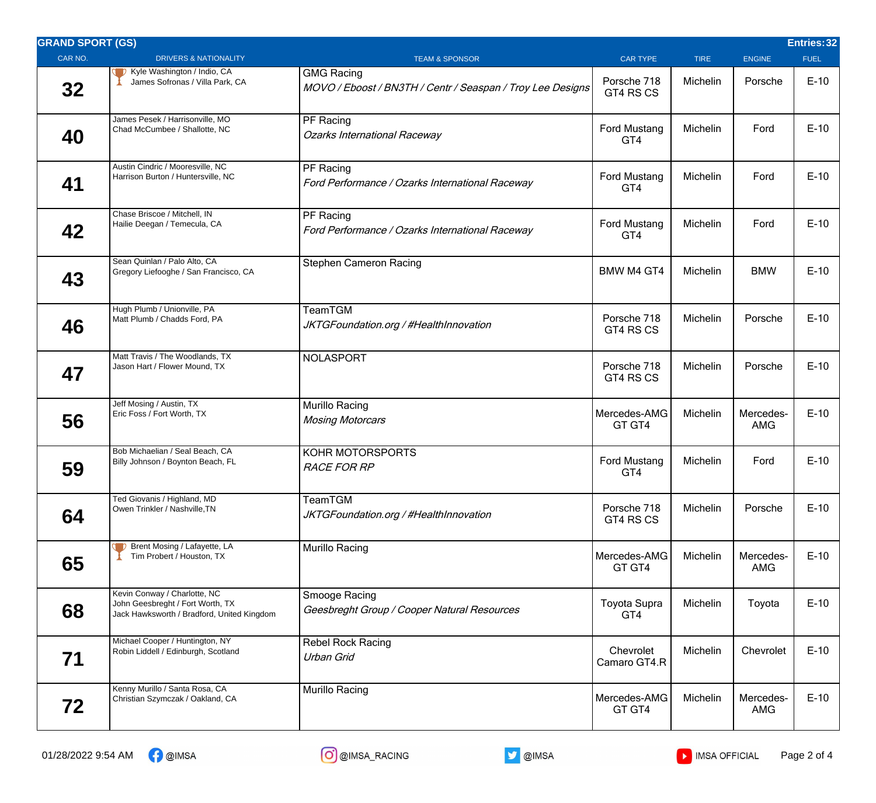| <b>GRAND SPORT (GS)</b> |                                                                                                                |                                                                                 |                            |             |                         | Entries: 32 |
|-------------------------|----------------------------------------------------------------------------------------------------------------|---------------------------------------------------------------------------------|----------------------------|-------------|-------------------------|-------------|
| CAR NO.                 | <b>DRIVERS &amp; NATIONALITY</b>                                                                               | <b>TEAM &amp; SPONSOR</b>                                                       | <b>CAR TYPE</b>            | <b>TIRE</b> | <b>ENGINE</b>           | <b>FUEL</b> |
| 32                      | Kyle Washington / Indio, CA<br>James Sofronas / Villa Park, CA                                                 | <b>GMG Racing</b><br>MOVO / Eboost / BN3TH / Centr / Seaspan / Troy Lee Designs | Porsche 718<br>GT4 RS CS   | Michelin    | Porsche                 | $E-10$      |
| 40                      | James Pesek / Harrisonville, MO<br>Chad McCumbee / Shallotte, NC                                               | PF Racing<br><b>Ozarks International Raceway</b>                                | Ford Mustang<br>GT4        | Michelin    | Ford                    | $E-10$      |
| 41                      | Austin Cindric / Mooresville, NC<br>Harrison Burton / Huntersville, NC                                         | PF Racing<br>Ford Performance / Ozarks International Raceway                    | Ford Mustang<br>GT4        | Michelin    | Ford                    | $E-10$      |
| 42                      | Chase Briscoe / Mitchell, IN<br>Hailie Deegan / Temecula, CA                                                   | PF Racing<br>Ford Performance / Ozarks International Raceway                    | Ford Mustang<br>GT4        | Michelin    | Ford                    | $E-10$      |
| 43                      | Sean Quinlan / Palo Alto, CA<br>Gregory Liefooghe / San Francisco, CA                                          | <b>Stephen Cameron Racing</b>                                                   | <b>BMW M4 GT4</b>          | Michelin    | <b>BMW</b>              | $E-10$      |
| 46                      | Hugh Plumb / Unionville, PA<br>Matt Plumb / Chadds Ford, PA                                                    | TeamTGM<br>JKTGFoundation.org / #HealthInnovation                               | Porsche 718<br>GT4 RS CS   | Michelin    | Porsche                 | $E-10$      |
| 47                      | Matt Travis / The Woodlands, TX<br>Jason Hart / Flower Mound, TX                                               | <b>NOLASPORT</b>                                                                | Porsche 718<br>GT4 RS CS   | Michelin    | Porsche                 | $E-10$      |
| 56                      | Jeff Mosing / Austin, TX<br>Eric Foss / Fort Worth, TX                                                         | Murillo Racing<br><b>Mosing Motorcars</b>                                       | Mercedes-AMG<br>GT GT4     | Michelin    | Mercedes-<br><b>AMG</b> | $E-10$      |
| 59                      | Bob Michaelian / Seal Beach, CA<br>Billy Johnson / Boynton Beach, FL                                           | KOHR MOTORSPORTS<br><b>RACE FOR RP</b>                                          | <b>Ford Mustang</b><br>GT4 | Michelin    | Ford                    | $E-10$      |
| 64                      | Ted Giovanis / Highland, MD<br>Owen Trinkler / Nashville, TN                                                   | TeamTGM<br>JKTGFoundation.org / #HealthInnovation                               | Porsche 718<br>GT4 RS CS   | Michelin    | Porsche                 | $E-10$      |
| 65                      | Brent Mosing / Lafayette, LA<br>Tim Probert / Houston, TX                                                      | Murillo Racing                                                                  | Mercedes-AMG<br>GT GT4     | Michelin    | Mercedes-<br><b>AMG</b> | $E-10$      |
| 68                      | Kevin Conway / Charlotte, NC<br>John Geesbreght / Fort Worth, TX<br>Jack Hawksworth / Bradford, United Kingdom | Smooge Racing<br>Geesbreght Group / Cooper Natural Resources                    | <b>Toyota Supra</b><br>GT4 | Michelin    | Toyota                  | $E-10$      |
| 71                      | Michael Cooper / Huntington, NY<br>Robin Liddell / Edinburgh, Scotland                                         | <b>Rebel Rock Racing</b><br>Urban Grid                                          | Chevrolet<br>Camaro GT4.R  | Michelin    | Chevrolet               | $E-10$      |
| 72                      | Kenny Murillo / Santa Rosa, CA<br>Christian Szymczak / Oakland, CA                                             | Murillo Racing                                                                  | Mercedes-AMG<br>GT GT4     | Michelin    | Mercedes-<br><b>AMG</b> | $E-10$      |

01/28/2022 9:54 AM  $\bigcap_{i=1}^{\infty}$  @IMSA  $\bigcap_{i=1}^{\infty}$  @IMSA  $\bigcup_{i=1}^{\infty}$  @IMSA  $\bigcup_{i=1}^{\infty}$  IMSA OFFICIAL Page 2 of 4

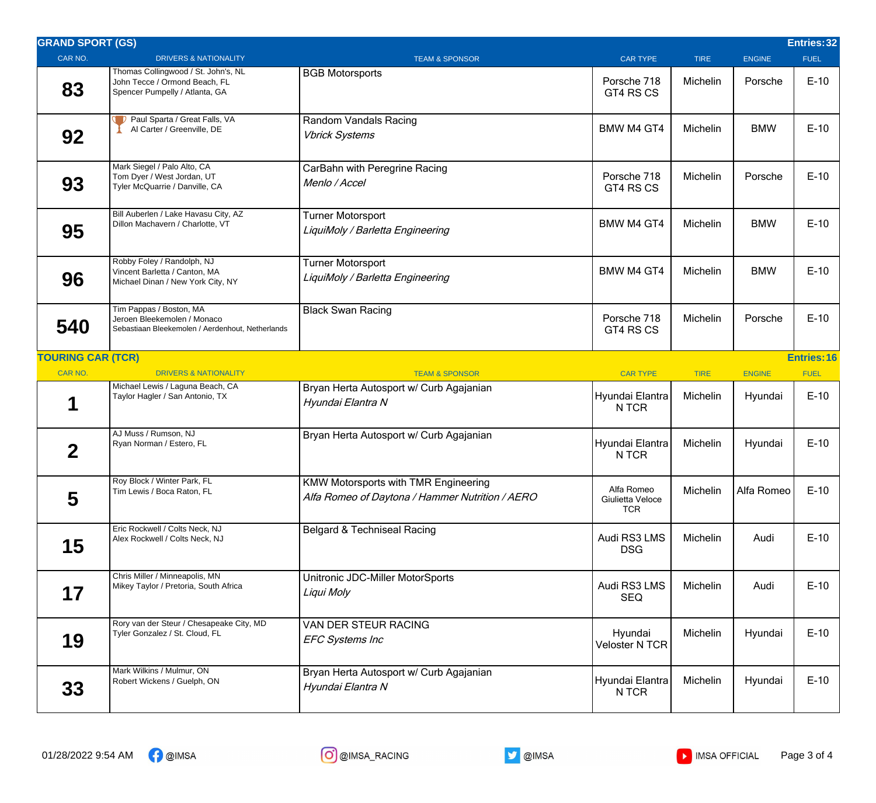| <b>GRAND SPORT (GS)</b>  |                                                                                                            |                                                                                                |                                              |             |               | Entries: 32        |
|--------------------------|------------------------------------------------------------------------------------------------------------|------------------------------------------------------------------------------------------------|----------------------------------------------|-------------|---------------|--------------------|
| CAR NO.                  | <b>DRIVERS &amp; NATIONALITY</b>                                                                           | <b>TEAM &amp; SPONSOR</b>                                                                      | <b>CAR TYPE</b>                              | <b>TIRE</b> | <b>ENGINE</b> | <b>FUEL</b>        |
| 83                       | Thomas Collingwood / St. John's, NL<br>John Tecce / Ormond Beach, FL<br>Spencer Pumpelly / Atlanta, GA     | <b>BGB Motorsports</b>                                                                         | Porsche 718<br>GT4 RS CS                     | Michelin    | Porsche       | $E-10$             |
| 92                       | Paul Sparta / Great Falls, VA<br>Al Carter / Greenville, DE                                                | Random Vandals Racing<br><b>Vbrick Systems</b>                                                 | BMW M4 GT4                                   | Michelin    | <b>BMW</b>    | $E-10$             |
| 93                       | Mark Siegel / Palo Alto, CA<br>Tom Dyer / West Jordan, UT<br>Tyler McQuarrie / Danville, CA                | CarBahn with Peregrine Racing<br>Menlo / Accel                                                 | Porsche 718<br>GT4 RS CS                     | Michelin    | Porsche       | $E-10$             |
| 95                       | Bill Auberlen / Lake Havasu City, AZ<br>Dillon Machavern / Charlotte, VT                                   | <b>Turner Motorsport</b><br>LiquiMoly / Barletta Engineering                                   | <b>BMW M4 GT4</b>                            | Michelin    | <b>BMW</b>    | $E-10$             |
| 96                       | Robby Foley / Randolph, NJ<br>Vincent Barletta / Canton, MA<br>Michael Dinan / New York City, NY           | <b>Turner Motorsport</b><br>LiquiMoly / Barletta Engineering                                   | <b>BMW M4 GT4</b>                            | Michelin    | <b>BMW</b>    | $E-10$             |
| 540                      | Tim Pappas / Boston, MA<br>Jeroen Bleekemolen / Monaco<br>Sebastiaan Bleekemolen / Aerdenhout, Netherlands | <b>Black Swan Racing</b>                                                                       | Porsche 718<br>GT4 RS CS                     | Michelin    | Porsche       | $E-10$             |
| <b>TOURING CAR (TCR)</b> |                                                                                                            |                                                                                                |                                              |             |               | <b>Entries: 16</b> |
| CAR NO.                  | <b>DRIVERS &amp; NATIONALITY</b>                                                                           | <b>TEAM &amp; SPONSOR</b>                                                                      | <b>CAR TYPE</b>                              | <b>TIRE</b> | <b>ENGINE</b> | <b>FUEL</b>        |
| 1                        | Michael Lewis / Laguna Beach, CA<br>Taylor Hagler / San Antonio, TX                                        | Bryan Herta Autosport w/ Curb Agajanian<br>Hyundai Elantra N                                   | Hyundai Elantra<br>N TCR                     | Michelin    | Hyundai       | $E-10$             |
| $\mathbf 2$              | AJ Muss / Rumson, NJ<br>Ryan Norman / Estero, FL                                                           | Bryan Herta Autosport w/ Curb Agajanian                                                        | Hyundai Elantra<br>N TCR                     | Michelin    | Hyundai       | $E-10$             |
| 5                        | Roy Block / Winter Park, FL<br>Tim Lewis / Boca Raton, FL                                                  | <b>KMW Motorsports with TMR Engineering</b><br>Alfa Romeo of Daytona / Hammer Nutrition / AERO | Alfa Romeo<br>Giulietta Veloce<br><b>TCR</b> | Michelin    | Alfa Romeo    | $E-10$             |
| 15                       | Eric Rockwell / Colts Neck, NJ<br>Alex Rockwell / Colts Neck, NJ                                           | <b>Belgard &amp; Techniseal Racing</b>                                                         | Audi RS3 LMS<br><b>DSG</b>                   | Michelin    | Audi          | $E-10$             |
| 17                       | Chris Miller / Minneapolis, MN<br>Mikey Taylor / Pretoria, South Africa                                    | Unitronic JDC-Miller MotorSports<br>Liqui Moly                                                 | Audi RS3 LMS<br><b>SEQ</b>                   | Michelin    | Audi          | $E-10$             |
| 19                       | Rory van der Steur / Chesapeake City, MD<br>Tyler Gonzalez / St. Cloud, FL                                 | VAN DER STEUR RACING<br><b>EFC Systems Inc</b>                                                 | Hyundai<br><b>Veloster N TCR</b>             | Michelin    | Hyundai       | $E-10$             |
| 33                       | Mark Wilkins / Mulmur, ON<br>Robert Wickens / Guelph, ON                                                   | Bryan Herta Autosport w/ Curb Agajanian<br>Hyundai Elantra N                                   | Hyundai Elantra<br>N TCR                     | Michelin    | Hyundai       | $E-10$             |